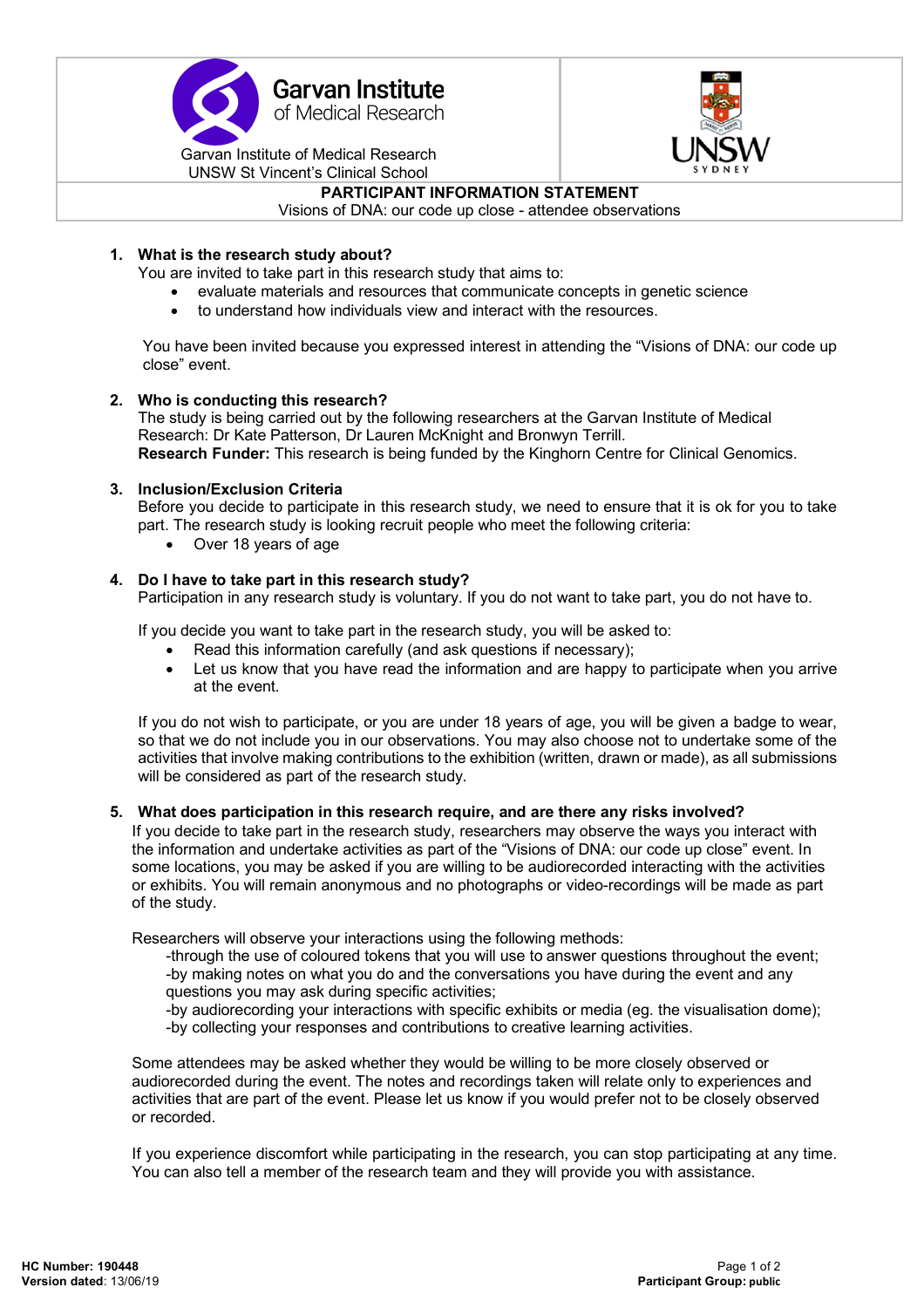



**PARTICIPANT INFORMATION STATEMENT**

Visions of DNA: our code up close - attendee observations

# **1. What is the research study about?**

You are invited to take part in this research study that aims to:

- evaluate materials and resources that communicate concepts in genetic science
- to understand how individuals view and interact with the resources.

You have been invited because you expressed interest in attending the "Visions of DNA: our code up close" event.

### **2. Who is conducting this research?**

The study is being carried out by the following researchers at the Garvan Institute of Medical Research: Dr Kate Patterson, Dr Lauren McKnight and Bronwyn Terrill. **Research Funder:** This research is being funded by the Kinghorn Centre for Clinical Genomics.

### **3. Inclusion/Exclusion Criteria**

Before you decide to participate in this research study, we need to ensure that it is ok for you to take part. The research study is looking recruit people who meet the following criteria:

• Over 18 years of age

## **4. Do I have to take part in this research study?**

Participation in any research study is voluntary. If you do not want to take part, you do not have to.

If you decide you want to take part in the research study, you will be asked to:

- Read this information carefully (and ask questions if necessary);
- Let us know that you have read the information and are happy to participate when you arrive at the event.

If you do not wish to participate, or you are under 18 years of age, you will be given a badge to wear, so that we do not include you in our observations. You may also choose not to undertake some of the activities that involve making contributions to the exhibition (written, drawn or made), as all submissions will be considered as part of the research study.

## **5. What does participation in this research require, and are there any risks involved?**

If you decide to take part in the research study, researchers may observe the ways you interact with the information and undertake activities as part of the "Visions of DNA: our code up close" event. In some locations, you may be asked if you are willing to be audiorecorded interacting with the activities or exhibits. You will remain anonymous and no photographs or video-recordings will be made as part of the study.

Researchers will observe your interactions using the following methods:

-through the use of coloured tokens that you will use to answer questions throughout the event; -by making notes on what you do and the conversations you have during the event and any questions you may ask during specific activities;

-by audiorecording your interactions with specific exhibits or media (eg. the visualisation dome);

-by collecting your responses and contributions to creative learning activities.

Some attendees may be asked whether they would be willing to be more closely observed or audiorecorded during the event. The notes and recordings taken will relate only to experiences and activities that are part of the event. Please let us know if you would prefer not to be closely observed or recorded.

If you experience discomfort while participating in the research, you can stop participating at any time. You can also tell a member of the research team and they will provide you with assistance.